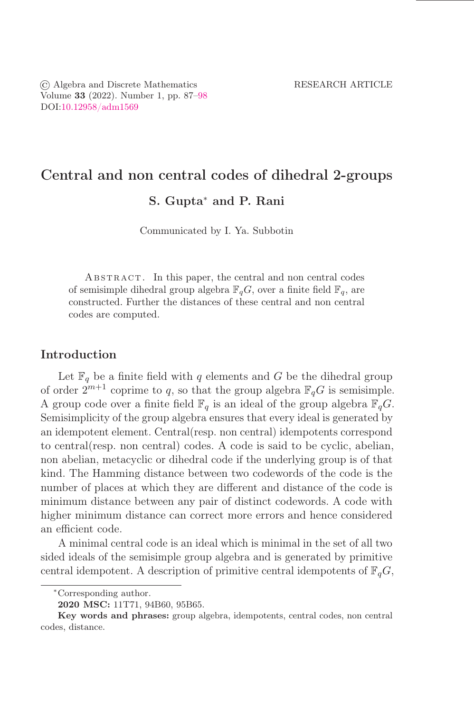© Algebra and Discrete Mathematics RESEARCH ARTICLE Volume 33 (2022). Number 1, pp.  $87-98$ DOI[:10.12958/adm1569](https://doi.org/10.12958/adm1569)

# Central and non central codes of dihedral 2-groups

# S. Gupta<sup>∗</sup> and P. Rani

Communicated by I. Ya. Subbotin

ABSTRACT. In this paper, the central and non central codes of semisimple dihedral group algebra  $\mathbb{F}_qG$ , over a finite field  $\mathbb{F}_q$ , are constructed. Further the distances of these central and non central codes are computed.

## Introduction

Let  $\mathbb{F}_q$  be a finite field with q elements and G be the dihedral group of order  $2^{m+1}$  coprime to q, so that the group algebra  $\mathbb{F}_qG$  is semisimple. A group code over a finite field  $\mathbb{F}_q$  is an ideal of the group algebra  $\mathbb{F}_qG$ . Semisimplicity of the group algebra ensures that every ideal is generated by an idempotent element. Central(resp. non central) idempotents correspond to central(resp. non central) codes. A code is said to be cyclic, abelian, non abelian, metacyclic or dihedral code if the underlying group is of that kind. The Hamming distance between two codewords of the code is the number of places at which they are different and distance of the code is minimum distance between any pair of distinct codewords. A code with higher minimum distance can correct more errors and hence considered an efficient code.

A minimal central code is an ideal which is minimal in the set of all two sided ideals of the semisimple group algebra and is generated by primitive central idempotent. A description of primitive central idempotents of  $\mathbb{F}_qG$ ,

<sup>∗</sup>Corresponding author.

<sup>2020</sup> MSC: 11T71, 94B60, 95B65.

Key words and phrases: group algebra, idempotents, central codes, non central codes, distance.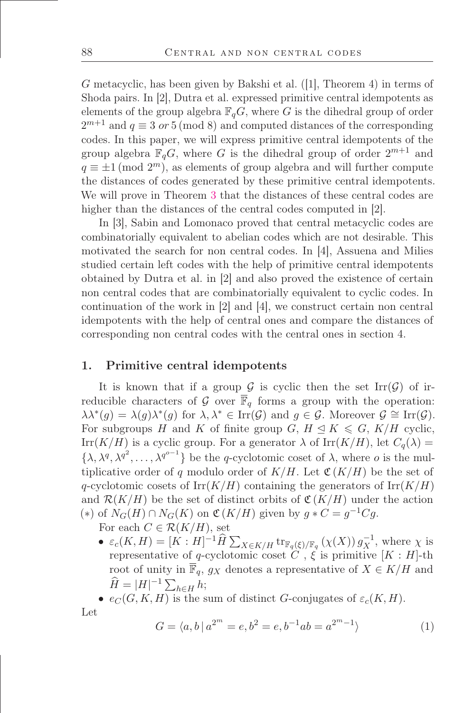G metacyclic, has been given by Bakshi et al. ([1], Theorem 4) in terms of Shoda pairs. In [2], Dutra et al. expressed primitive central idempotents as elements of the group algebra  $\mathbb{F}_qG$ , where G is the dihedral group of order  $2^{m+1}$  and  $q \equiv 3 \text{ or } 5 \pmod{8}$  and computed distances of the corresponding codes. In this paper, we will express primitive central idempotents of the group algebra  $\mathbb{F}_q G$ , where G is the dihedral group of order  $2^{m+1}$  and  $q \equiv \pm 1 \pmod{2^m}$ , as elements of group algebra and will further compute the distances of codes generated by these primitive central idempotents. We will prove in Theorem [3](#page-6-0) that the distances of these central codes are higher than the distances of the central codes computed in [2].

In [3], Sabin and Lomonaco proved that central metacyclic codes are combinatorially equivalent to abelian codes which are not desirable. This motivated the search for non central codes. In [4], Assuena and Milies studied certain left codes with the help of primitive central idempotents obtained by Dutra et al. in [2] and also proved the existence of certain non central codes that are combinatorially equivalent to cyclic codes. In continuation of the work in [2] and [4], we construct certain non central idempotents with the help of central ones and compare the distances of corresponding non central codes with the central ones in section 4.

## 1. Primitive central idempotents

It is known that if a group  $\mathcal G$  is cyclic then the set Irr $(\mathcal G)$  of irreducible characters of G over  $\overline{\mathbb{F}}_q$  forms a group with the operation:  $\lambda \lambda^*(g) = \lambda(g) \lambda^*(g)$  for  $\lambda, \lambda^* \in \text{Irr}(\mathcal{G})$  and  $g \in \mathcal{G}$ . Moreover  $\mathcal{G} \cong \text{Irr}(\mathcal{G})$ . For subgroups H and K of finite group G,  $H \leq K \leq G$ ,  $K/H$  cyclic, Irr(K/H) is a cyclic group. For a generator  $\lambda$  of Irr(K/H), let  $C_q(\lambda) =$  $\{\lambda, \lambda^q, \lambda^{q^2}, \ldots, \lambda^{q^{o-1}}\}$  be the q-cyclotomic coset of  $\lambda$ , where *o* is the multiplicative order of q modulo order of  $K/H$ . Let  $\mathfrak{C}(K/H)$  be the set of q-cyclotomic cosets of  $\text{Irr}(K/H)$  containing the generators of  $\text{Irr}(K/H)$ and  $\mathcal{R}(K/H)$  be the set of distinct orbits of  $\mathfrak{C}(K/H)$  under the action (\*) of  $N_G(H) \cap N_G(K)$  on  $\mathfrak{C}(K/H)$  given by  $g * C = g^{-1}Cg$ .

For each  $C \in \mathcal{R}(K/H)$ , set

- $\varepsilon_c(K,H) = [K:H]^{-1} \widehat{H} \sum_{X \in K/H} \text{tr}_{\mathbb{F}_q(\xi)/\mathbb{F}_q} (\chi(X)) g_X^{-1}$ , where  $\chi$  is representative of q-cyclotomic coset  $C$ ,  $\xi$  is primitive  $[K:H]$ -th root of unity in  $\overline{\mathbb{F}}_q$ ,  $g_X$  denotes a representative of  $X \in K/H$  and  $\widehat{H} = |H|^{-1} \sum_{h \in H} h;$
- $e_C(G, K, H)$  is the sum of distinct G-conjugates of  $\varepsilon_c(K, H)$ . Let

<span id="page-1-0"></span>
$$
G = \langle a, b \mid a^{2^m} = e, b^2 = e, b^{-1}ab = a^{2^m - 1} \rangle \tag{1}
$$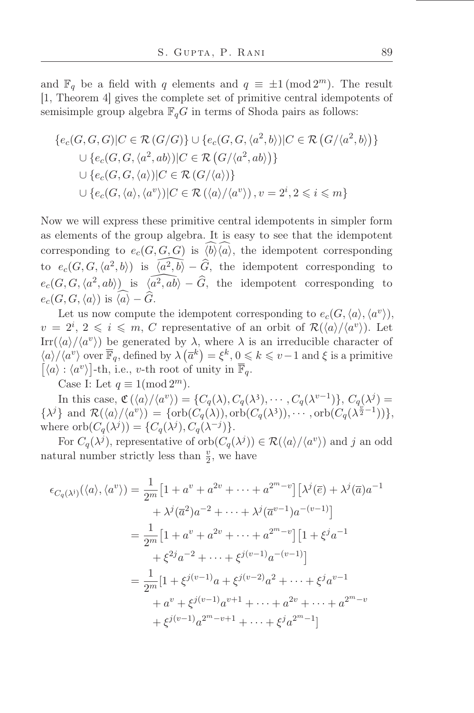and  $\mathbb{F}_q$  be a field with q elements and  $q \equiv \pm 1 \pmod{2^m}$ . The result [1, Theorem 4] gives the complete set of primitive central idempotents of semisimple group algebra  $\mathbb{F}_qG$  in terms of Shoda pairs as follows:

$$
\{e_c(G, G, G)|C \in \mathcal{R}(G/G)\} \cup \{e_c(G, G, \langle a^2, b \rangle)|C \in \mathcal{R}(G/\langle a^2, b \rangle)\}
$$
  

$$
\cup \{e_c(G, G, \langle a^2, ab \rangle)|C \in \mathcal{R}(G/\langle a^2, ab \rangle)\}
$$
  

$$
\cup \{e_c(G, G, \langle a \rangle)|C \in \mathcal{R}(G/\langle a \rangle)\}
$$
  

$$
\cup \{e_c(G, \langle a \rangle, \langle a^v \rangle)|C \in \mathcal{R}(\langle a \rangle/\langle a^v \rangle), v = 2^i, 2 \leq i \leq m\}
$$

Now we will express these primitive central idempotents in simpler form as elements of the group algebra. It is easy to see that the idempotent corresponding to  $e_c(G, G, G)$  is  $\langle b \rangle \langle a \rangle$ , the idempotent corresponding to  $e_c(G, G, \langle a^2, b \rangle)$  is  $\widehat{\langle a^2, b \rangle} - \widehat{G}$ , the idempotent corresponding to  $e_c(G, G, \langle a^2, ab \rangle)$  is  $\langle \widehat{a^2, ab} \rangle - \widehat{G}$ , the idempotent corresponding to  $e_c(G, G, \langle a \rangle)$  is  $\langle a \rangle - \hat{G}$ .

Let us now compute the idempotent corresponding to  $e_c(G, \langle a \rangle, \langle a^v \rangle)$ ,  $v = 2^i, 2 \leqslant i \leqslant m, C$  representative of an orbit of  $\mathcal{R}(\langle a \rangle / \langle a^v \rangle)$ . Let Irr( $\langle a \rangle / \langle a^v \rangle$ ) be generated by  $\lambda$ , where  $\lambda$  is an irreducible character of  $\langle a \rangle / \langle a^v \rangle$  over  $\overline{\mathbb{F}}_q$ , defined by  $\lambda(\overline{a}^k) = \xi^k, 0 \leq k \leq v-1$  and  $\xi$  is a primitive  $\left[\langle a \rangle : \langle a^v \rangle\right]$ -th, i.e., v-th root of unity in  $\overline{\mathbb{F}}_q$ .

Case I: Let  $q \equiv 1 \pmod{2^m}$ .

In this case,  $\mathfrak{C}(\langle a \rangle / \langle a^v \rangle) = \{C_q(\lambda), C_q(\lambda^3), \cdots, C_q(\lambda^{v-1})\}, C_q(\lambda^j) =$  $\{\lambda^j\}$  and  $\mathcal{R}(\langle a \rangle / \langle a^v \rangle) = \{\text{orb}(C_q(\lambda)), \text{orb}(C_q(\lambda^3)), \cdots, \text{orb}(C_q(\lambda^{\frac{v}{2}-1}))\},\$ where  $orb(C_q(\lambda^j)) = \{C_q(\lambda^j), C_q(\lambda^{-j})\}.$ 

For  $C_q(\lambda^j)$ , representative of  $orb(C_q(\lambda^j)) \in \mathcal{R}(\langle a \rangle / \langle a^v \rangle)$  and j an odd natural number strictly less than  $\frac{v}{2}$ , we have

$$
\epsilon_{C_q(\lambda^j)}(\langle a \rangle, \langle a^v \rangle) = \frac{1}{2^m} \left[ 1 + a^v + a^{2v} + \dots + a^{2^m - v} \right] \left[ \lambda^j(\overline{e}) + \lambda^j(\overline{a})a^{-1} \right. \n\left. + \lambda^j(\overline{a}^2)a^{-2} + \dots + \lambda^j(\overline{a}^{v-1})a^{-(v-1)} \right] \n= \frac{1}{2^m} \left[ 1 + a^v + a^{2v} + \dots + a^{2^m - v} \right] \left[ 1 + \xi^j a^{-1} \right. \n\left. + \xi^{2j} a^{-2} + \dots + \xi^{j(v-1)} a^{-(v-1)} \right] \n= \frac{1}{2^m} \left[ 1 + \xi^{j(v-1)} a + \xi^{j(v-2)} a^2 + \dots + \xi^j a^{v-1} \right. \n\left. + a^v + \xi^{j(v-1)} a^{v+1} + \dots + a^{2v} + \dots + a^{2^m - v} \right. \n\left. + \xi^{j(v-1)} a^{2^m - v+1} + \dots + \xi^j a^{2^m - 1} \right]
$$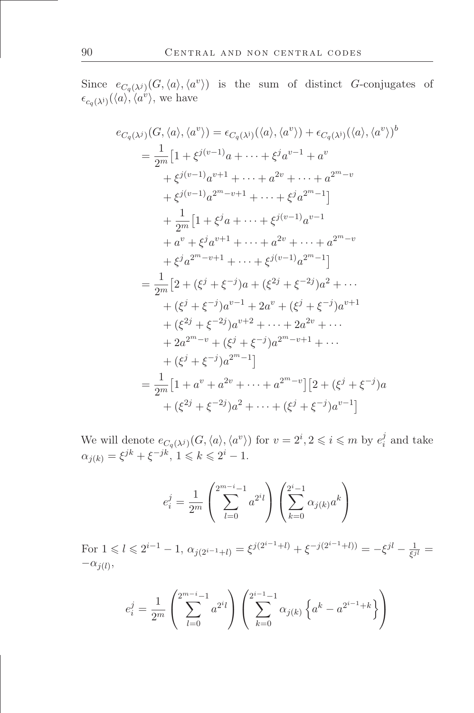Since  $e_{C_q(\lambda^j)}(G, \langle a \rangle, \langle a^v \rangle)$  is the sum of distinct G-conjugates of  $\epsilon_{c_q(\lambda^{\mathfrak{j}})}(\langle a\rangle,\langle a^v\rangle)$ , we have

$$
e_{C_q(\lambda^j)}(G, \langle a \rangle, \langle a^v \rangle) = \epsilon_{C_q(\lambda^j)}(\langle a \rangle, \langle a^v \rangle) + \epsilon_{C_q(\lambda^j)}(\langle a \rangle, \langle a^v \rangle)^b
$$
  
\n
$$
= \frac{1}{2^m} \Big[ 1 + \xi^{j(v-1)}a + \dots + \xi^j a^{v-1} + a^v
$$
  
\n
$$
+ \xi^{j(v-1)}a^{v+1} + \dots + a^{2v} + \dots + a^{2^m - v}
$$
  
\n
$$
+ \frac{1}{2^m} \Big[ 1 + \xi^j a + \dots + \xi^{j(v-1)}a^{v-1} + a^v + \xi^j a^{v+1} + \dots + a^{2^v} + \dots + a^{2^m - v}
$$
  
\n
$$
+ \xi^j a^{2^m - v + 1} + \dots + \xi^{j(v-1)}a^{2^m - 1} \Big]
$$
  
\n
$$
= \frac{1}{2^m} \Big[ 2 + (\xi^j + \xi^{-j})a + (\xi^{2j} + \xi^{-2j})a^2 + \dots + (\xi^{2j} + \xi^{-2j})a^{v+1} + (\xi^{2j} + \xi^{-2j})a^{v-1} + 2a^v + (\xi^j + \xi^{-j})a^{v+1} + ( \xi^{2j} + \xi^{-2j})a^{v+2} + \dots + 2a^{2^m - v} + (\xi^j + \xi^{-j})a^{2^m - v + 1} + \dots + ( \xi^j + \xi^{-j})a^{2^m - v + 1} + \dots + (\xi^j + \xi^{-j})a^{2^m - v + 1} \Big]
$$
  
\n
$$
= \frac{1}{2^m} \Big[ 1 + a^v + a^{2v} + \dots + a^{2^m - v} \Big] \Big[ 2 + (\xi^j + \xi^{-j})a^{v-1} \Big]
$$

We will denote  $e_{C_q(\lambda^j)}(G, \langle a \rangle, \langle a^v \rangle)$  for  $v = 2^i, 2 \leq i \leq m$  by  $e_i^j$  $i$  and take  $\alpha_{j(k)} = \xi^{jk} + \xi^{-jk}, \ 1 \leq k \leq 2^i - 1.$ 

$$
e_i^j = \frac{1}{2^m} \left( \sum_{l=0}^{2^{m-i}-1} a^{2^il} \right) \left( \sum_{k=0}^{2^i-1} \alpha_{j(k)} a^k \right)
$$

For  $1 \leq l \leq 2^{i-1} - 1$ ,  $\alpha_{j(2^{i-1}+l)} = \xi^{j(2^{i-1}+l)} + \xi^{-j(2^{i-1}+l)} = -\xi^{jl} - \frac{1}{\xi^{j}}$  $\frac{1}{\xi^{jl}} =$  $-\alpha_{j(l)},$ 

$$
e_i^j = \frac{1}{2^m} \left( \sum_{l=0}^{2^{m-i}-1} a^{2^il} \right) \left( \sum_{k=0}^{2^{i-1}-1} \alpha_{j(k)} \left\{ a^k - a^{2^{i-1}+k} \right\} \right)
$$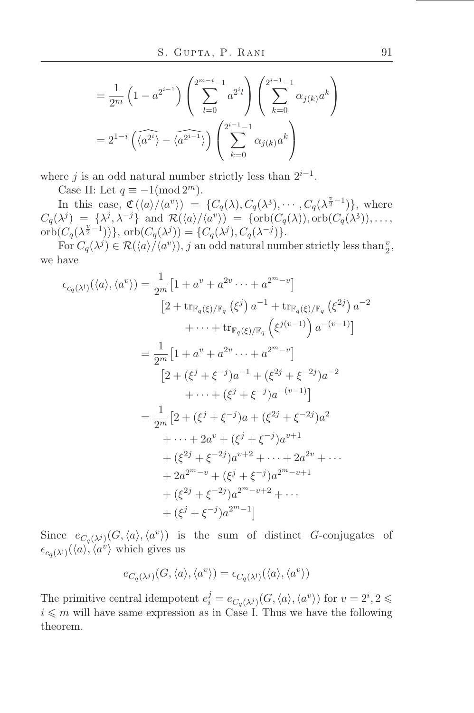$$
= \frac{1}{2^m} \left(1 - a^{2^{i-1}}\right) \left(\sum_{l=0}^{2^{m-i}-1} a^{2^{i}l}\right) \left(\sum_{k=0}^{2^{i-1}-1} \alpha_{j(k)} a^k\right)
$$

$$
= 2^{1-i} \left(\widehat{\langle a^{2^{i}}\rangle} - \widehat{\langle a^{2^{i-1}}\rangle}\right) \left(\sum_{k=0}^{2^{i-1}-1} \alpha_{j(k)} a^k\right)
$$

where j is an odd natural number strictly less than  $2^{i-1}$ .

Case II: Let  $q \equiv -1 \pmod{2^m}$ .

In this case,  $\mathfrak{C}(\langle a \rangle / \langle a^v \rangle) = \{ C_q(\lambda), C_q(\lambda^3), \cdots, C_q(\lambda^{\frac{v}{2}-1}) \},\$  where  $C_q(\lambda^j) = {\lambda^j, \lambda^{-j}}$  and  $\mathcal{R}(\langle a \rangle / \langle a^v \rangle) = {\text{orb}}(C_q(\lambda)), \text{orb}(C_q(\lambda^3)), \ldots,$  $\text{orb}(C_q(\lambda^{\frac{v}{2}-1}))\}, \text{orb}(C_q(\lambda^j)) = \{C_q(\lambda^j), C_q(\lambda^{-j})\}.$ 

For  $C_q(\lambda^j) \in \mathcal{R}(\langle a \rangle / \langle a^v \rangle), j$  an odd natural number strictly less than  $\frac{v}{2}$ , we have

$$
\epsilon_{c_q(\lambda^j)}(\langle a \rangle, \langle a^v \rangle) = \frac{1}{2^m} \left[ 1 + a^v + a^{2v} \dots + a^{2m-v} \right]
$$
  
\n
$$
\left[ 2 + \text{tr}_{\mathbb{F}_q(\xi)/\mathbb{F}_q} \left( \xi^j \right) a^{-1} + \text{tr}_{\mathbb{F}_q(\xi)/\mathbb{F}_q} \left( \xi^{2j} \right) a^{-2} + \dots + \text{tr}_{\mathbb{F}_q(\xi)/\mathbb{F}_q} \left( \xi^{j(v-1)} \right) a^{-(v-1)} \right]
$$
  
\n
$$
= \frac{1}{2^m} \left[ 1 + a^v + a^{2v} \dots + a^{2^m - v} \right]
$$
  
\n
$$
\left[ 2 + (\xi^j + \xi^{-j}) a^{-1} + (\xi^{2j} + \xi^{-2j}) a^{-2} + \dots + (\xi^j + \xi^{-j}) a^{-(v-1)} \right]
$$
  
\n
$$
= \frac{1}{2^m} \left[ 2 + (\xi^j + \xi^{-j}) a + (\xi^{2j} + \xi^{-2j}) a^2 + \dots + 2a^v + (\xi^j + \xi^{-j}) a^{v+1} + (\xi^{2j} + \xi^{-2j}) a^{v+2} + \dots + 2a^{2v} + \dots + 2a^{2^m - v} + (\xi^j + \xi^{-j}) a^{2^m - v + 1} + (\xi^{2j} + \xi^{-2j}) a^{2^m - v + 2} + \dots + (\xi^{j} + \xi^{-j}) a^{2^m - v + 2} + \dots + (\xi^{j} + \xi^{-j}) a^{2^m - 1} \right]
$$

Since  $e_{C_q(\lambda^j)}(G, \langle a \rangle, \langle a^v \rangle)$  is the sum of distinct G-conjugates of  $\epsilon_{c_q(\lambda^j)}(\langle a \rangle, \langle a^i \rangle)$  which gives us

$$
e_{C_q(\lambda^j)}(G, \langle a \rangle, \langle a^v \rangle) = \epsilon_{C_q(\lambda^j)}(\langle a \rangle, \langle a^v \rangle)
$$

The primitive central idempotent  $e_i^j = e_{C_q(\lambda^j)}(G, \langle a \rangle, \langle a^v \rangle)$  for  $v = 2^i, 2 \leq$  $i \leq m$  will have same expression as in Case I. Thus we have the following theorem.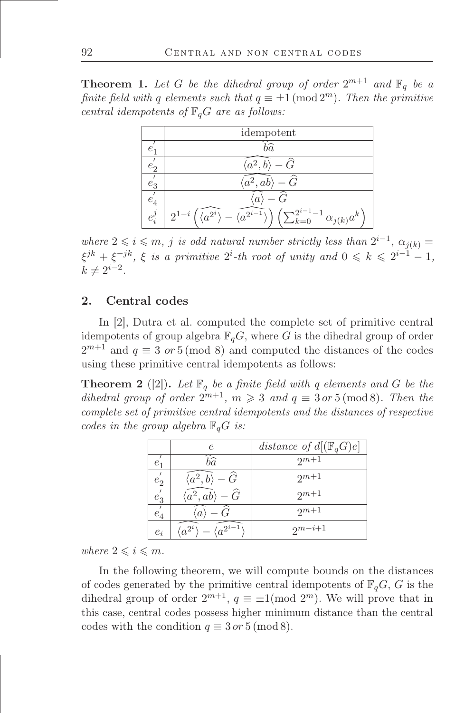<span id="page-5-0"></span>**Theorem 1.** Let G be the dihedral group of order  $2^{m+1}$  and  $\mathbb{F}_q$  be a *finite field with* q *elements such that*  $q \equiv \pm 1 \pmod{2^m}$ . Then the primitive *central idempotents of*  $\mathbb{F}_qG$  *are as follows:* 

|                    | idempotent                                                                                                      |
|--------------------|-----------------------------------------------------------------------------------------------------------------|
| $e_1$              | $b\widehat{a}$                                                                                                  |
| $e_2$              | $\widehat{G}$                                                                                                   |
| $e_3$              | $\hat{G}$<br>$\langle a^2, ab \rangle$                                                                          |
| $\boldsymbol{e}_4$ | $\alpha$                                                                                                        |
| $e_i^j$            | $\frac{i-1}{i}$<br>$-\langle a^{2^{i-1}} \rangle$<br>$a^{2^i}$<br>$\int \alpha_{j(k)} a^k$ )<br>$\lambda k = 0$ |

*where*  $2 \leq i \leq m$ , *j is odd natural number strictly less than*  $2^{i-1}$ ,  $\alpha_{j(k)} =$  $\xi^{jk} + \xi^{-jk}$ ,  $\xi$  is a primitive  $2^i$ -th root of unity and  $0 \leq k \leq 2^{i-1} - 1$ ,  $k \neq 2^{i-2}$ .

## 2. Central codes

In [2], Dutra et al. computed the complete set of primitive central idempotents of group algebra  $\mathbb{F}_qG$ , where G is the dihedral group of order  $2^{m+1}$  and  $q \equiv 3 \text{ or } 5 \pmod{8}$  and computed the distances of the codes using these primitive central idempotents as follows:

<span id="page-5-1"></span>**Theorem 2** ([2]). Let  $\mathbb{F}_q$  be a finite field with q elements and G be the dihedral group of order  $2^{m+1}$ ,  $m \geqslant 3$  and  $q \equiv 3$  or 5 (mod 8). Then the *complete set of primitive central idempotents and the distances of respective codes in the group algebra*  $\mathbb{F}_qG$  *is:* 

| e                              | distance of $d[(\mathbb{F}_qG)e]$ |
|--------------------------------|-----------------------------------|
| bà                             | $2m+1$                            |
| – Ĝ                            | $2^{m+1}$                         |
| $a^2, ab$<br>– <i>G</i>        | $2^{m+1}$                         |
| $\alpha$                       | $2^{m+1}$                         |
| $-\langle a^{2^{i-1}} \rangle$ | $2^{m-i+1}$                       |
|                                |                                   |

*where*  $2 \leq i \leq m$ *.* 

In the following theorem, we will compute bounds on the distances of codes generated by the primitive central idempotents of  $\mathbb{F}_qG$ , G is the dihedral group of order  $2^{m+1}$ ,  $q \equiv \pm 1 \pmod{2^m}$ . We will prove that in this case, central codes possess higher minimum distance than the central codes with the condition  $q \equiv 3 \text{ or } 5 \pmod{8}$ .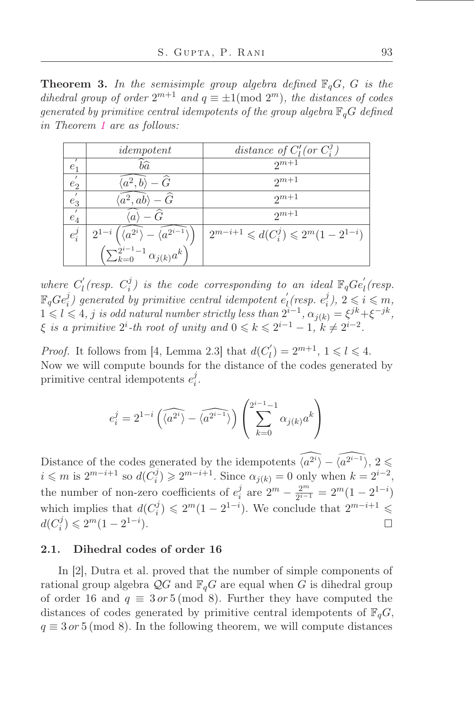<span id="page-6-0"></span>**Theorem 3.** In the semisimple group algebra defined  $\mathbb{F}_q$ G, G is the dihedral group of order  $2^{m+1}$  and  $q \equiv \pm 1 \pmod{2^m}$ , the distances of codes *generated by primitive central idempotents of the group algebra*  $\mathbb{F}_q$ *G defined in Theorem [1](#page-5-0) are as follows:*

|                            | idempotent                                     | distance of $C'_1$ (or $C_i^j$ )              |
|----------------------------|------------------------------------------------|-----------------------------------------------|
| $e_{\scriptscriptstyle 1}$ | $b\hat{a}$                                     | $2m+1$                                        |
| e,                         | $\langle a^2, b \rangle$                       | $2m+1$                                        |
| $e_3$                      | $(a^2, ab)$                                    | $2m+1$                                        |
| $\boldsymbol{e}_4$         | $\langle a^{\vee}$                             | $2m+1$                                        |
| $e^j_i$                    | $2^{1-i}$                                      | $2^{m-i+1} \leq d(C_i^j) \leq 2^m(1-2^{1-i})$ |
|                            | $\sum_{k=0}^{2^{i-1}-1}$<br>$\alpha_{j(k)}a^k$ |                                               |

where  $C_l'$  $\int_l' (resp. C_i^j)$  $\mathcal{F}_i^{j}$ ) is the code corresponding to an ideal  $\mathbb{F}_qGe_l^{'}(resp.)$  $\mathbb{F}_qGe_i^j)$  generated by primitive central idempotent  $e_i^j$  $\int_l (resp. \, e_i^j)$  $\binom{j}{i},\ 2\leqslant i\leqslant m,$  $1 \leqslant l \leqslant 4$ , *j* is odd natural number strictly less than  $2^{i-1}$ ,  $\alpha_{j(k)} = \xi^{jk} + \xi^{-jk}$ ,  $\xi$  is a primitive  $2^i$ -th root of unity and  $0 \leq k \leq 2^{i-1} - 1$ ,  $k \neq 2^{i-2}$ .

*Proof.* It follows from [4, Lemma 2.3] that  $d(C_i)$  $l'_{l}$ ) =  $2^{m+1}$ ,  $1 \leq l \leq 4$ . Now we will compute bounds for the distance of the codes generated by primitive central idempotents  $e_i^j$  $\frac{j}{i}$ .

$$
e_i^j = 2^{1-i} \left( \widehat{\langle a^{2^i} \rangle} - \widehat{\langle a^{2^{i-1}} \rangle} \right) \left( \sum_{k=0}^{2^{i-1}-1} \alpha_{j(k)} a^k \right)
$$

Distance of the codes generated by the idempotents  $\widehat{\langle a^{2i} \rangle} - \widehat{\langle a^{2i-1} \rangle}$ ,  $2 \leq$  $i \leqslant m$  is  $2^{m-i+1}$  so  $d(C_i^j)$  $\langle i \rangle \geqslant 2^{m-i+1}$ . Since  $\alpha_{j(k)} = 0$  only when  $k = 2^{i-2}$ ,  $i \atop i$  are  $2^m - \frac{2^m}{2^{i-1}}$ the number of non-zero coefficients of  $e_i^j$  $\frac{2^m}{2^{i-1}} = 2^m (1 - 2^{1-i})$ which implies that  $d(C_i^j)$  $j_i^j$ )  $\leq 2^m(1-2^{1-i})$ . We conclude that  $2^{m-i+1}$   $\leq$  $d(C_i^j)$  $j_i^{(j)} \leq 2^m (1 - 2^{1-i}).$  $\Box$ 

#### 2.1. Dihedral codes of order 16

In [2], Dutra et al. proved that the number of simple components of rational group algebra  $\mathcal{Q}G$  and  $\mathbb{F}_qG$  are equal when G is dihedral group of order 16 and  $q \equiv 3 \text{ or } 5 \pmod{8}$ . Further they have computed the distances of codes generated by primitive central idempotents of  $\mathbb{F}_qG$ ,  $q \equiv 3 \text{ or } 5 \pmod{8}$ . In the following theorem, we will compute distances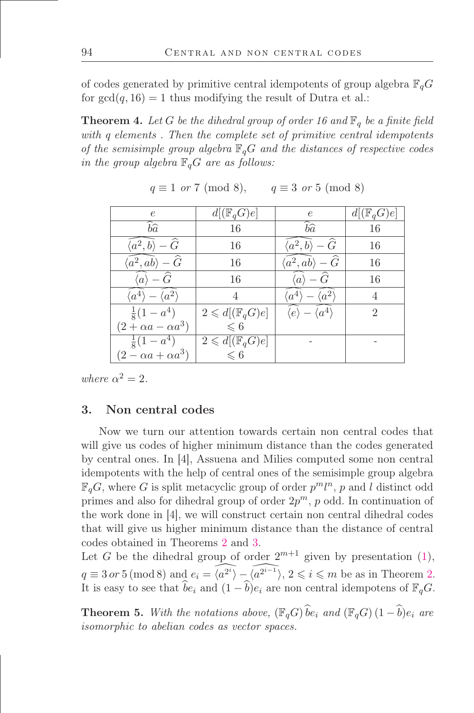of codes generated by primitive central idempotents of group algebra  $\mathbb{F}_qG$ for  $gcd(q, 16) = 1$  thus modifying the result of Dutra et al.:

**Theorem 4.** Let G be the dihedral group of order 16 and  $\mathbb{F}_q$  be a finite field *with q elements . Then the complete set of primitive central idempotents of the semisimple group algebra*  $\mathbb{F}_q$ *G and the distances of respective codes in the group algebra*  $\mathbb{F}_qG$  *are as follows:* 

| $\epsilon$                                                      | $d[(\mathbb{F}_qG)e]$             | $\epsilon$                                       | $d[(\mathbb{F}_qG)e]$       |
|-----------------------------------------------------------------|-----------------------------------|--------------------------------------------------|-----------------------------|
| $\widehat{b}\widehat{a}$                                        | 16                                | $\widehat{b}\widehat{a}$                         | 16                          |
| $\langle a^2,b\rangle-\widehat{G}$                              | 16                                | $\langle a^2,b\rangle-\hat{G}$                   | 16                          |
| $\langle a^2, a\bar{b}\rangle - \widehat{G}$                    | 16                                | $\langle a^2, a\bar{b}\rangle - \widehat{G}$     | 16                          |
| $\widehat{\langle a\rangle}-\widehat{G}$                        | 16                                | $\widehat{G}$<br>$\widehat{\langle a \rangle}$ — | 16                          |
| $\widehat{\langle a^4 \rangle} - \widehat{\langle a^2 \rangle}$ | 4                                 | $\langle a^2 \rangle$<br>$\langle a^4 \rangle$ — |                             |
| $rac{1}{8}(1-a^4)$                                              | $2 \leq d$ [ $\mathbb{F}_q G$ ]e] | $\langle e \rangle - \langle a^4 \rangle$        | $\mathcal{D}_{\mathcal{L}}$ |
| $(2 + \alpha a - \alpha a^3)$                                   | $\leqslant 6$                     |                                                  |                             |
| $rac{1}{8}(1-\overline{a^4})$                                   | $2 \leq d[(\mathbb{F}_qG)e]$      |                                                  |                             |
| $(2 - \alpha a + \alpha a^3)$                                   | $\leq 6$                          |                                                  |                             |

 $q \equiv 1 \text{ or } 7 \pmod{8}, \qquad q \equiv 3 \text{ or } 5 \pmod{8}$ 

*where*  $\alpha^2 = 2$ *.* 

# 3. Non central codes

Now we turn our attention towards certain non central codes that will give us codes of higher minimum distance than the codes generated by central ones. In [4], Assuena and Milies computed some non central idempotents with the help of central ones of the semisimple group algebra  $\mathbb{F}_q G$ , where G is split metacyclic group of order  $p^m l^n$ , p and l distinct odd primes and also for dihedral group of order  $2p^m$ ,  $p$  odd. In continuation of the work done in [4], we will construct certain non central dihedral codes that will give us higher minimum distance than the distance of central codes obtained in Theorems [2](#page-5-1) and [3.](#page-6-0)

Let G be the dihedral group of order  $2^{m+1}$  given by presentation [\(1\)](#page-1-0),  $q \equiv 3 \text{ or } 5 \pmod{8}$  and  $e_i = \widehat{\langle a^{2i} \rangle} - \widehat{\langle a^{2i-1} \rangle}$ ,  $2 \leq i \leq m$  be as in Theorem [2.](#page-5-1) It is easy to see that  $\hat{b}e_i$  and  $(1 - \hat{b})e_i$  are non central idempotens of  $\mathbb{F}_qG$ .

**Theorem 5.** With the notations above,  $(\mathbb{F}_q G) \hat{b} e_i$  and  $(\mathbb{F}_q G) (1 - \hat{b}) e_i$  are *isomorphic to abelian codes as vector spaces.*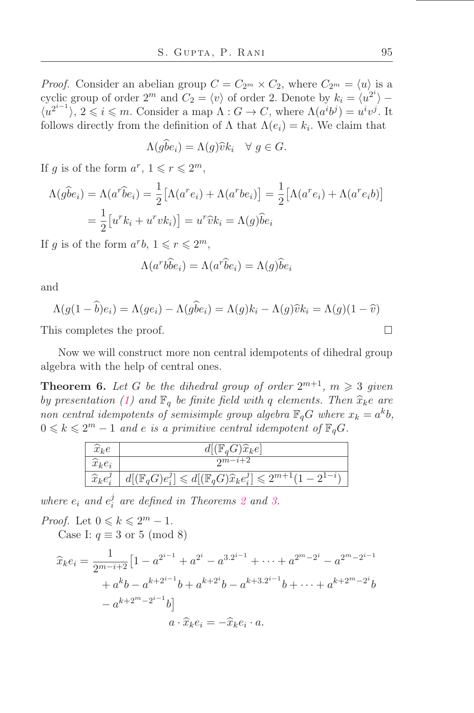*Proof.* Consider an abelian group  $C = C_{2m} \times C_2$ , where  $C_{2m} = \langle u \rangle$  is a cyclic group of order  $2^m$  and  $C_2 = \langle v \rangle$  of order 2. Denote by  $k_i = \langle u^{2^i} \rangle$  –  $\langle u^{2^{i-1}} \rangle, 2 \leq i \leq m$ . Consider a map  $\Lambda : G \to C$ , where  $\Lambda(a^i b^j) = u^i v^j$ . It follows directly from the definition of  $\Lambda$  that  $\Lambda(e_i) = k_i$ . We claim that

$$
\Lambda(gbe_i) = \Lambda(g)\hat{v}k_i \quad \forall \ g \in G.
$$

If g is of the form  $a^r$ ,  $1 \leqslant r \leqslant 2^m$ ,

$$
\Lambda(g\widehat{b}e_i) = \Lambda(a^r\widehat{b}e_i) = \frac{1}{2} \left[ \Lambda(a^r e_i) + \Lambda(a^r b e_i) \right] = \frac{1}{2} \left[ \Lambda(a^r e_i) + \Lambda(a^r e_i b) \right]
$$

$$
= \frac{1}{2} \left[ u^r k_i + u^r v k_i \right] = u^r \widehat{v} k_i = \Lambda(g) \widehat{b} e_i
$$

If g is of the form  $a^rb$ ,  $1 \leq r \leq 2^m$ ,

$$
\Lambda(a^r \hat{b} \hat{b} e_i) = \Lambda(a^r \hat{b} e_i) = \Lambda(g) \hat{b} e_i
$$

and

$$
\Lambda(g(1-\widehat{b})e_i) = \Lambda(ge_i) - \Lambda(g\widehat{b}e_i) = \Lambda(g)k_i - \Lambda(g)\widehat{v}k_i = \Lambda(g)(1-\widehat{v})
$$

This completes the proof.

Now we will construct more non central idempotents of dihedral group algebra with the help of central ones.

**Theorem 6.** Let G be the dihedral group of order  $2^{m+1}$ ,  $m \geq 3$  given *by presentation* [\(1\)](#page-1-0) and  $\mathbb{F}_q$  *be finite field with* q *elements. Then*  $\hat{x}_k e$  *are non central idempotents of semisimple group algebra*  $\mathbb{F}_q G$  where  $x_k = a^k b$ ,  $0 \leq k \leq 2^m - 1$  and e is a primitive central idempotent of  $\mathbb{F}_qG$ .

| $\widehat{x}_k e$     | $d[(\mathbb{F}_qG)\hat{x}_ke]$                                                            |
|-----------------------|-------------------------------------------------------------------------------------------|
| $\widehat{x}_k e_i$   | $2m-i+2$                                                                                  |
| $\widehat{x}_k e_i^j$ | $d[(\mathbb{F}_{q}G)e_i^j] \le d[(\mathbb{F}_{q}G)\hat{x}_ke_i^j] \le 2^{m+1}(1-2^{1-i})$ |

where  $e_i$  and  $e_i^j$ i *are deőned in Theorems [2](#page-5-1) and [3.](#page-6-0)*

*Proof.* Let  $0 \leq k \leq 2^m - 1$ .

Case I:  $q \equiv 3$  or 5 (mod 8)

$$
\widehat{x}_k e_i = \frac{1}{2^{m-i+2}} \left[ 1 - a^{2^{i-1}} + a^{2^i} - a^{3 \cdot 2^{i-1}} + \dots + a^{2^m - 2^i} - a^{2^m - 2^{i-1}} \right. \\
\left. + a^k b - a^{k+2^{i-1}} b + a^{k+2^i} b - a^{k+3 \cdot 2^{i-1}} b + \dots + a^{k+2^m - 2^i} b \right. \\
\left. - a^{k+2^m - 2^{i-1}} b \right] \\
\left. a \cdot \widehat{x}_k e_i = -\widehat{x}_k e_i \cdot a.
$$

 $\Box$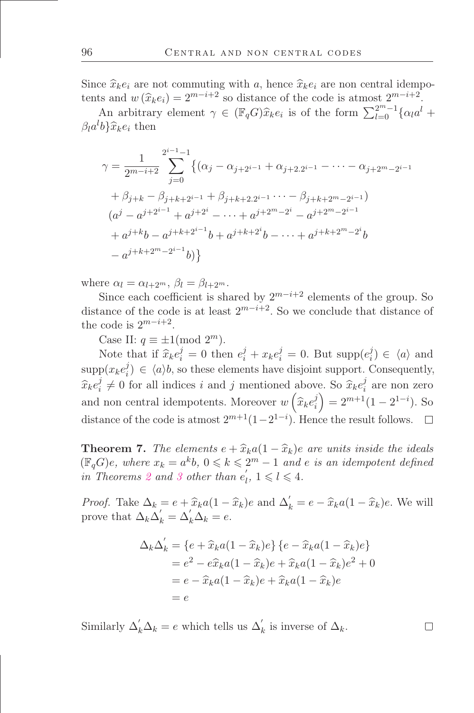Since  $\widehat{x}_k e_i$  are not commuting with a, hence  $\widehat{x}_k e_i$  are non central idempotents and  $w(\widehat{x}_k e_i) = 2^{m-i+2}$  so distance of the code is atmost  $2^{m-i+2}$ .

An arbitrary element  $\gamma \in (\mathbb{F}_q G)\hat{x}_k e_i$  is of the form  $\sum_{l=0}^{2^m-1} {\{\alpha_l a^l + \alpha_l a_l\}}$  $\beta_l a^l b$ } $\hat{x}_k e_i$  then

$$
\gamma = \frac{1}{2^{m-i+2}} \sum_{j=0}^{2^{i-1}-1} \left\{ (\alpha_j - \alpha_{j+2^{i-1}} + \alpha_{j+2,2^{i-1}} - \dots - \alpha_{j+2^{m}-2^{i-1}}) \right. \\
\left. + \beta_{j+k} - \beta_{j+k+2^{i-1}} + \beta_{j+k+2,2^{i-1}} \dots - \beta_{j+k+2^{m}-2^{i-1}}) \right\}
$$
\n
$$
(a^j - a^{j+2^{i-1}} + a^{j+2^i} - \dots + a^{j+2^m-2^i} - a^{j+2^m-2^{i-1}}) \\
+ a^{j+k}b - a^{j+k+2^{i-1}}b + a^{j+k+2^i}b - \dots + a^{j+k+2^m-2^i}b \\
- a^{j+k+2^m-2^{i-1}}b) \}
$$

where  $\alpha_l = \alpha_{l+2^m}, \beta_l = \beta_{l+2^m}.$ 

Since each coefficient is shared by  $2^{m-i+2}$  elements of the group. So distance of the code is at least  $2^{m-i+2}$ . So we conclude that distance of the code is  $2^{m-i+2}$ .

Case II:  $q \equiv \pm 1 \pmod{2^m}$ .

Note that if  $\hat{x}_k e_i^j = 0$  then  $e_i^j + x_k e_i^j = 0$ . But supp $(e_i^j)$  $\langle i \rangle \in \langle a \rangle$  and  $\text{supp}(x_k e_i^j)$  $i_j^j$ )  $\in \langle a \rangle b$ , so these elements have disjoint support. Consequently,  $\widehat{x}_k e_i^j$  $i \neq 0$  for all indices i and j mentioned above. So  $\hat{x}_k e_i^j$  $i_i^j$  are non zero and non central idempotents. Moreover  $w\left(\hat{x}_k e_i^j\right)$  $= 2^{m+1}(1-2^{1-i})$ . So i distance of the code is atmost  $2^{m+1}(1-2^{1-i})$ . Hence the result follows.  $\Box$ 

**Theorem 7.** *The elements*  $e + \hat{x}_k a(1 - \hat{x}_k)e$  *are units inside the ideals*  $(\mathbb{F}_q G)e$ , where  $x_k = a^k b$ ,  $0 \leq k \leq 2^m - 1$  and e is an idempotent defined  $\overrightarrow{in}$  *Theorems* [2](#page-5-1) and [3](#page-6-0) other than  $\overrightarrow{e}_i$  $l_l, 1 \leq l \leq 4.$ 

*Proof.* Take  $\Delta_k = e + \hat{x}_k a(1 - \hat{x}_k)e$  and  $\Delta'_k = e - \hat{x}_k a(1 - \hat{x}_k)e$ . We will prove that  $\Delta_k \Delta'_k = \Delta'_k \Delta_k = e$ .

$$
\Delta_k \Delta'_k = \{e + \widehat{x}_k a(1 - \widehat{x}_k)e\} \{e - \widehat{x}_k a(1 - \widehat{x}_k)e\}
$$
  
=  $e^2 - e\widehat{x}_k a(1 - \widehat{x}_k)e + \widehat{x}_k a(1 - \widehat{x}_k)e^2 + 0$   
=  $e - \widehat{x}_k a(1 - \widehat{x}_k)e + \widehat{x}_k a(1 - \widehat{x}_k)e$   
=  $e$ 

Similarly  $\Delta'_k \Delta_k = e$  which tells us  $\Delta'_k$  $\kappa_k$  is inverse of  $\Delta_k$ .

 $\Box$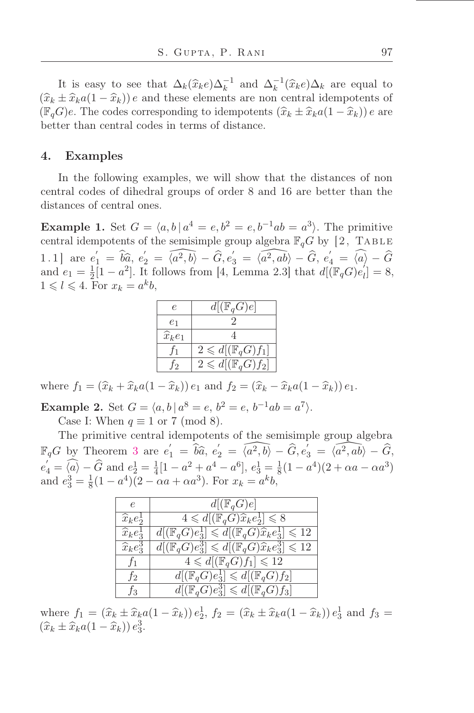It is easy to see that  $\Delta_k(\widehat{x}_k e) \Delta_k^{-1}$  and  $\Delta_k^{-1}$  $\bar{k}^{-1}(\widehat{x}_k e) \Delta_k$  are equal to  $(\widehat{x}_k \pm \widehat{x}_k a(1 - \widehat{x}_k)) e$  and these elements are non central idempotents of  $(\mathbb{F}_{q}G)e$ . The codes corresponding to idempotents  $(\widehat{x}_k \pm \widehat{x}_k a(1 - \widehat{x}_k)) e$  are better than central codes in terms of distance.

### 4. Examples

In the following examples, we will show that the distances of non central codes of dihedral groups of order 8 and 16 are better than the distances of central ones.

**Example 1.** Set  $G = \langle a, b \mid a^4 = e, b^2 = e, b^{-1}ab = a^3 \rangle$ . The primitive central idempotents of the semisimple group algebra  $\mathbb{F}_qG$  by [2, TABLE 1.1] are  $e'_1 = \widehat{b}\widehat{a}$ ,  $e'_2 = \widehat{(a^2, b)} - \widehat{G}$ ,  $e'_3 = \widehat{(a^2, ab)} - \widehat{G}$ ,  $e'_4 = \widehat{(a)} - \widehat{G}$ and  $e_1 = \frac{1}{2}$  $\frac{1}{2}[1-a^2]$ . It follows from [4, Lemma 2.3] that  $d[(\mathbb{F}_qG)e'_k]$  $[i] = 8,$  $1 \leq l \leq 4$ . For  $x_k = a^k b$ ,

| P.                  | $d[(\mathbb{F}_qG)e]$                |
|---------------------|--------------------------------------|
| $e_1$               |                                      |
| $\widehat{x}_k e_1$ |                                      |
| $f_1$               | $2 \leq d$ [ $(\mathbb{F}_q G)f_1$ ] |
| t2                  | $2 \leq d[(\mathbb{F}_qG)f_2]$       |

where  $f_1 = (\hat{x}_k + \hat{x}_k a(1 - \hat{x}_k)) e_1$  and  $f_2 = (\hat{x}_k - \hat{x}_k a(1 - \hat{x}_k)) e_1$ .

**Example 2.** Set  $G = \langle a, b | a^8 = e, b^2 = e, b^{-1}ab = a^7 \rangle$ . Case I: When  $q \equiv 1$  or 7 (mod 8).

The primitive central idempotents of the semisimple group algebra  $\mathbb{F}_q G$  by Theorem [3](#page-6-0) are  $e'_1 = \hat{b}\hat{a}$ ,  $e'_2 = \widehat{\langle a^2, b \rangle} - \hat{G}$ ,  $e'_3 = \widehat{\langle a^2, ab \rangle} - \hat{G}$ ,  $e_4' = \widehat{\langle a \rangle} - \widehat{G}$  and  $e_2^1 = \frac{1}{4}$  $\frac{1}{4}[1-a^2+a^4-a^6], e_3^1=\frac{1}{8}$  $\frac{1}{8}(1-a^4)(2+\alpha a-\alpha a^3)$ and  $e_3^3 = \frac{1}{8}$  $\frac{1}{8}(1-a^4)(2-\alpha a+\alpha a^3)$ . For  $x_k = a^k b$ ,

| $\epsilon$            | $d[(\mathbb{F}_{q}G)e]$                                                            |
|-----------------------|------------------------------------------------------------------------------------|
| $\widehat{x}_k e^1$   | $4 \leq d[(\mathbb{F}_q G)\hat{x}_k e_2^1] \leq 8$                                 |
| $\widehat{x}_k e_3^1$ | $\overline{d[(\mathbb{F}_qG)e_3^1]} \leq d[(\mathbb{F}_qG)\hat{x}_ke_3^1] \leq 12$ |
| $\widehat{x}_k e_3^3$ | $d[(\mathbb{F}_qG)e_3^3] \leq d[(\mathbb{F}_qG)\hat{x}_ke_3^3] \leq 12$            |
| $f_1$                 | $4 \leq d$ [ $(\mathbb{F}_q G)f_1$ ] $\leq 12$                                     |
| $f_2$                 | $d[(\mathbb{F}_qG)e_3^1] \leq d[(\mathbb{F}_qG)f_2]$                               |
| $f_3$                 | $\overline{d[(\mathbb{F}_qG)e_3^3]} \leq d[(\mathbb{F}_qG)f_3]$                    |

where  $f_1 = (\hat{x}_k \pm \hat{x}_k a(1 - \hat{x}_k)) e_2^1$ ,  $f_2 = (\hat{x}_k \pm \hat{x}_k a(1 - \hat{x}_k)) e_3^1$  and  $f_3 = (\hat{x}_k \pm \hat{x}_k a(1 - \hat{x}_k)) e_3^1$  $(\widehat{x}_k \pm \widehat{x}_k a(1 - \widehat{x}_k)) e_3^3.$